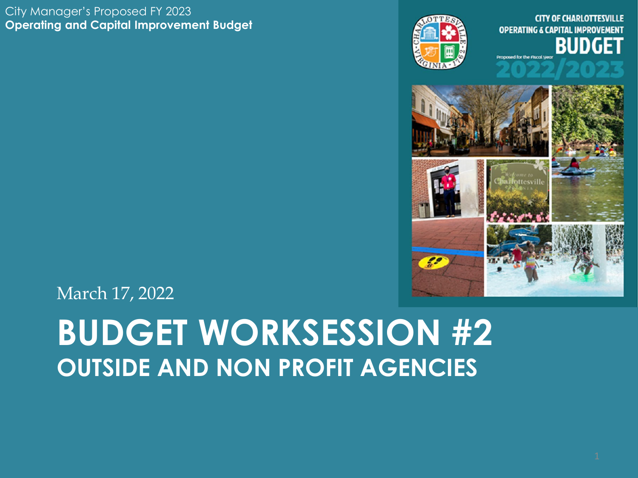#### City Manager's Proposed FY 2023 **Operating and Capital Improvement Budget**



**FSVILLE OPERATING & CAPITAL IMPROVEMENT** BUDG **Proposed for the Fiscal Ve** 



March 17, 2022

## **BUDGET WORKSESSION #2 OUTSIDE AND NON PROFIT AGENCIES**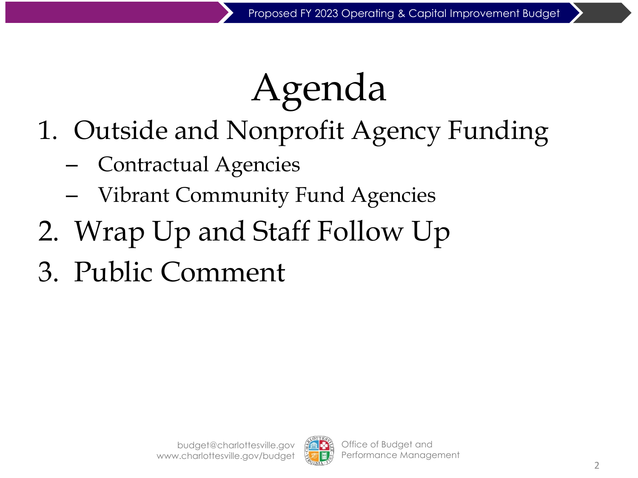# Agenda

- 1. Outside and Nonprofit Agency Funding
	- Contractual Agencies
	- Vibrant Community Fund Agencies
- 2. Wrap Up and Staff Follow Up
- 3. Public Comment

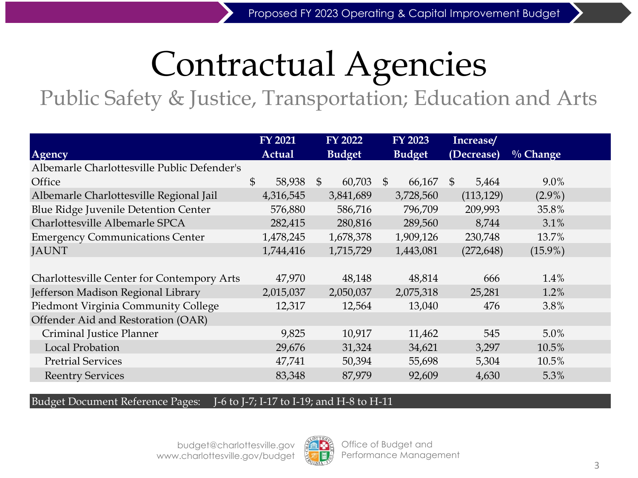## Contractual Agencies

Public Safety & Justice, Transportation; Education and Arts

|                                             | <b>FY 2021</b>         | <b>FY 2022</b>           | <b>FY 2023</b>          | Increase/   |             |  |
|---------------------------------------------|------------------------|--------------------------|-------------------------|-------------|-------------|--|
| Agency                                      | Actual                 | <b>Budget</b>            | <b>Budget</b>           | (Decrease)  | $\%$ Change |  |
| Albemarle Charlottesville Public Defender's |                        |                          |                         |             |             |  |
| Office                                      | $\mathbb{S}$<br>58,938 | $\mathfrak{S}$<br>60,703 | 66,167<br>$\mathcal{S}$ | -S<br>5,464 | 9.0%        |  |
| Albemarle Charlottesville Regional Jail     | 4,316,545              | 3,841,689                | 3,728,560               | (113, 129)  | $(2.9\%)$   |  |
| Blue Ridge Juvenile Detention Center        | 576,880                | 586,716                  | 796,709                 | 209,993     | 35.8%       |  |
| Charlottesville Albemarle SPCA              | 282,415                | 280,816                  | 289,560                 | 8,744       | 3.1%        |  |
| <b>Emergency Communications Center</b>      | 1,478,245              | 1,678,378                | 1,909,126               | 230,748     | 13.7%       |  |
| <b>JAUNT</b>                                | 1,744,416              | 1,715,729                | 1,443,081               | (272, 648)  | $(15.9\%)$  |  |
|                                             |                        |                          |                         |             |             |  |
| Charlottesville Center for Contempory Arts  | 47,970                 | 48,148                   | 48,814                  | 666         | 1.4%        |  |
| Jefferson Madison Regional Library          | 2,015,037              | 2,050,037                | 2,075,318               | 25,281      | 1.2%        |  |
| Piedmont Virginia Community College         | 12,317                 | 12,564                   | 13,040                  | 476         | 3.8%        |  |
| Offender Aid and Restoration (OAR)          |                        |                          |                         |             |             |  |
| Criminal Justice Planner                    | 9,825                  | 10,917                   | 11,462                  | 545         | 5.0%        |  |
| <b>Local Probation</b>                      | 29,676                 | 31,324                   | 34,621                  | 3,297       | 10.5%       |  |
| <b>Pretrial Services</b>                    | 47,741                 | 50,394                   | 55,698                  | 5,304       | 10.5%       |  |
| <b>Reentry Services</b>                     | 83,348                 | 87,979                   | 92,609                  | 4,630       | 5.3%        |  |

#### Budget Document Reference Pages: J-6 to J-7; I-17 to I-19; and H-8 to H-11

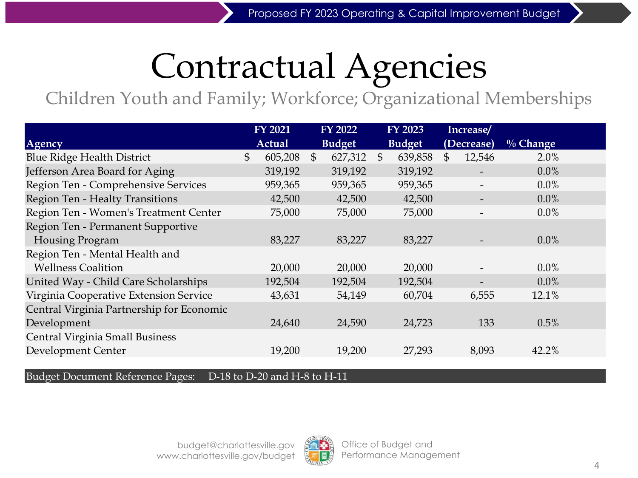## Contractual Agencies

Children Youth and Family; Workforce; Organizational Memberships

|                                           | <b>FY 2021</b> |                | <b>FY 2022</b> |                | <b>FY 2023</b> | Increase/    |             |  |
|-------------------------------------------|----------------|----------------|----------------|----------------|----------------|--------------|-------------|--|
| Agency                                    | Actual         |                | <b>Budget</b>  |                | <b>Budget</b>  | (Decrease)   | $\%$ Change |  |
| <b>Blue Ridge Health District</b>         | \$<br>605,208  | $\mathfrak{S}$ | 627,312        | $\mathfrak{S}$ | 639,858        | \$<br>12,546 | 2.0%        |  |
| Jefferson Area Board for Aging            | 319,192        |                | 319,192        |                | 319,192        |              | 0.0%        |  |
| Region Ten - Comprehensive Services       | 959,365        |                | 959,365        |                | 959,365        |              | 0.0%        |  |
| Region Ten - Healty Transitions           | 42,500         |                | 42,500         |                | 42,500         |              | $0.0\%$     |  |
| Region Ten - Women's Treatment Center     | 75,000         |                | 75,000         |                | 75,000         |              | 0.0%        |  |
| Region Ten - Permanent Supportive         |                |                |                |                |                |              |             |  |
| Housing Program                           | 83,227         |                | 83,227         |                | 83,227         |              | $0.0\%$     |  |
| Region Ten - Mental Health and            |                |                |                |                |                |              |             |  |
| <b>Wellness Coalition</b>                 | 20,000         |                | 20,000         |                | 20,000         |              | $0.0\%$     |  |
| United Way - Child Care Scholarships      | 192,504        |                | 192,504        |                | 192,504        |              | $0.0\%$     |  |
| Virginia Cooperative Extension Service    | 43,631         |                | 54,149         |                | 60,704         | 6,555        | 12.1%       |  |
| Central Virginia Partnership for Economic |                |                |                |                |                |              |             |  |
| Development                               | 24,640         |                | 24,590         |                | 24,723         | 133          | 0.5%        |  |
| <b>Central Virginia Small Business</b>    |                |                |                |                |                |              |             |  |
| Development Center                        | 19,200         |                | 19,200         |                | 27,293         | 8,093        | 42.2%       |  |
|                                           |                |                |                |                |                |              |             |  |

Budget Document Reference Pages: D-18 to D-20 and H-8 to H-11

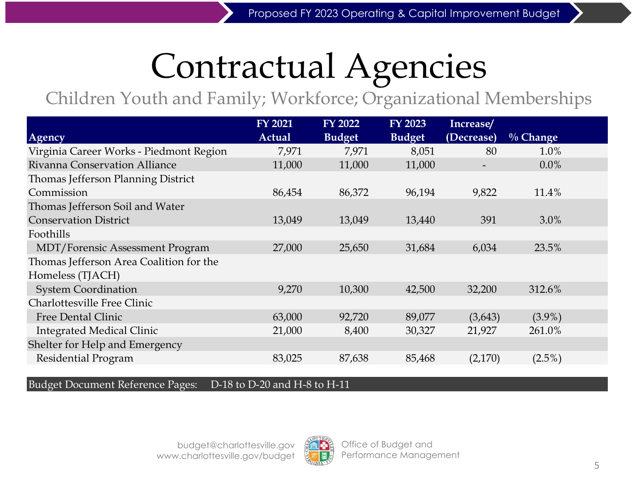## Contractual Agencies

Children Youth and Family; Workforce; Organizational Memberships

|                                         | <b>FY 2021</b> | <b>FY 2022</b> | <b>FY 2023</b> | Increase/  |             |
|-----------------------------------------|----------------|----------------|----------------|------------|-------------|
| Agency                                  | <b>Actual</b>  | <b>Budget</b>  | <b>Budget</b>  | (Decrease) | $\%$ Change |
| Virginia Career Works - Piedmont Region | 7,971          | 7,971          | 8,051          | 80         | 1.0%        |
| <b>Rivanna Conservation Alliance</b>    | 11,000         | 11,000         | 11,000         |            | $0.0\%$     |
| Thomas Jefferson Planning District      |                |                |                |            |             |
| Commission                              | 86,454         | 86,372         | 96,194         | 9,822      | 11.4%       |
| Thomas Jefferson Soil and Water         |                |                |                |            |             |
| <b>Conservation District</b>            | 13,049         | 13,049         | 13,440         | 391        | $3.0\%$     |
| Foothills                               |                |                |                |            |             |
| <b>MDT/Forensic Assessment Program</b>  | 27,000         | 25,650         | 31,684         | 6,034      | 23.5%       |
| Thomas Jefferson Area Coalition for the |                |                |                |            |             |
| Homeless (TJACH)                        |                |                |                |            |             |
| <b>System Coordination</b>              | 9,270          | 10,300         | 42,500         | 32,200     | 312.6%      |
| Charlottesville Free Clinic             |                |                |                |            |             |
| <b>Free Dental Clinic</b>               | 63,000         | 92,720         | 89,077         | (3,643)    | $(3.9\%)$   |
| <b>Integrated Medical Clinic</b>        | 21,000         | 8,400          | 30,327         | 21,927     | 261.0%      |
| Shelter for Help and Emergency          |                |                |                |            |             |
| Residential Program                     | 83,025         | 87,638         | 85,468         | (2,170)    | $(2.5\%)$   |

Budget Document Reference Pages: D-18 to D-20 and H-8 to H-11

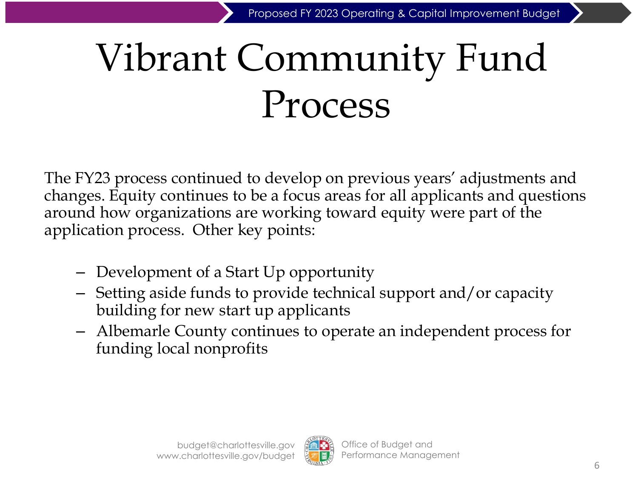# Vibrant Community Fund Process

The FY23 process continued to develop on previous years' adjustments and changes. Equity continues to be a focus areas for all applicants and questions around how organizations are working toward equity were part of the application process. Other key points:

- Development of a Start Up opportunity
- Setting aside funds to provide technical support and/or capacity building for new start up applicants
- Albemarle County continues to operate an independent process for funding local nonprofits

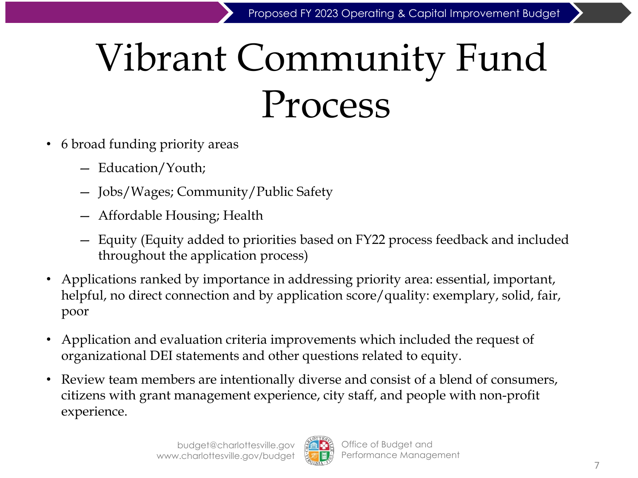# Vibrant Community Fund Process

- 6 broad funding priority areas
	- Education/Youth;
	- Jobs/Wages; Community/Public Safety
	- Affordable Housing; Health
	- Equity (Equity added to priorities based on FY22 process feedback and included throughout the application process)
- Applications ranked by importance in addressing priority area: essential, important, helpful, no direct connection and by application score/quality: exemplary, solid, fair, poor
- Application and evaluation criteria improvements which included the request of organizational DEI statements and other questions related to equity.
- Review team members are intentionally diverse and consist of a blend of consumers, citizens with grant management experience, city staff, and people with non-profit experience.

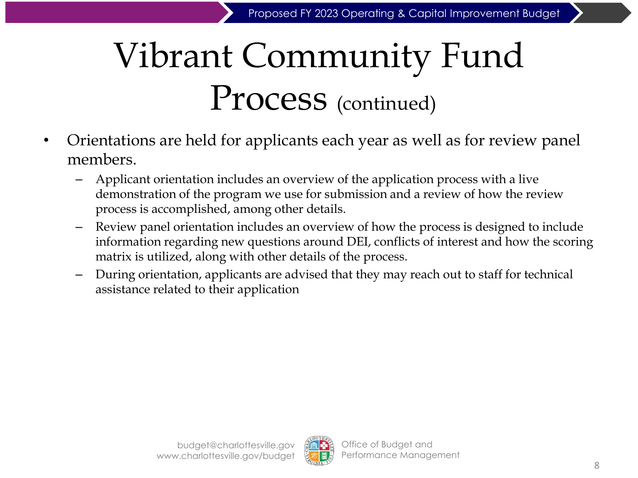## Vibrant Community Fund Process (continued)

- Orientations are held for applicants each year as well as for review panel members.
	- Applicant orientation includes an overview of the application process with a live demonstration of the program we use for submission and a review of how the review process is accomplished, among other details.
	- Review panel orientation includes an overview of how the process is designed to include information regarding new questions around DEI, conflicts of interest and how the scoring matrix is utilized, along with other details of the process.
	- During orientation, applicants are advised that they may reach out to staff for technical assistance related to their application

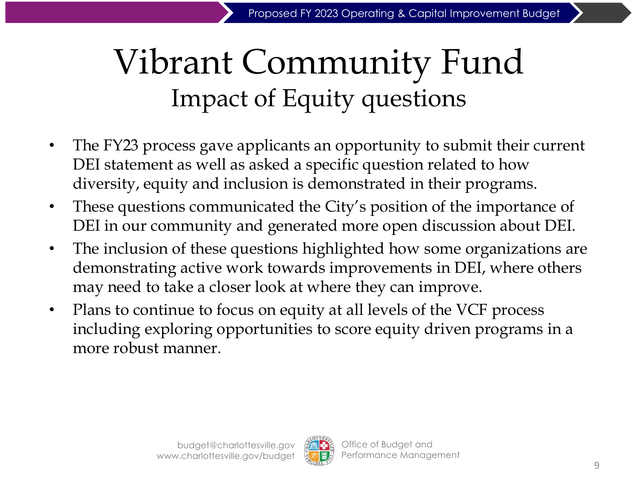## Vibrant Community Fund Impact of Equity questions

- The FY23 process gave applicants an opportunity to submit their current DEI statement as well as asked a specific question related to how diversity, equity and inclusion is demonstrated in their programs.
- These questions communicated the City's position of the importance of DEI in our community and generated more open discussion about DEI.
- The inclusion of these questions highlighted how some organizations are demonstrating active work towards improvements in DEI, where others may need to take a closer look at where they can improve.
- Plans to continue to focus on equity at all levels of the VCF process including exploring opportunities to score equity driven programs in a more robust manner.

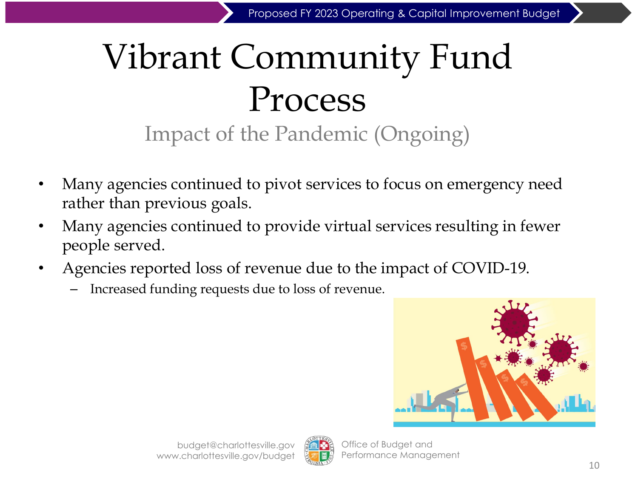## Vibrant Community Fund Process Impact of the Pandemic (Ongoing)

- Many agencies continued to pivot services to focus on emergency need rather than previous goals.
- Many agencies continued to provide virtual services resulting in fewer people served.
- Agencies reported loss of revenue due to the impact of COVID-19.
	- Increased funding requests due to loss of revenue.





Office of Budget and Performance Management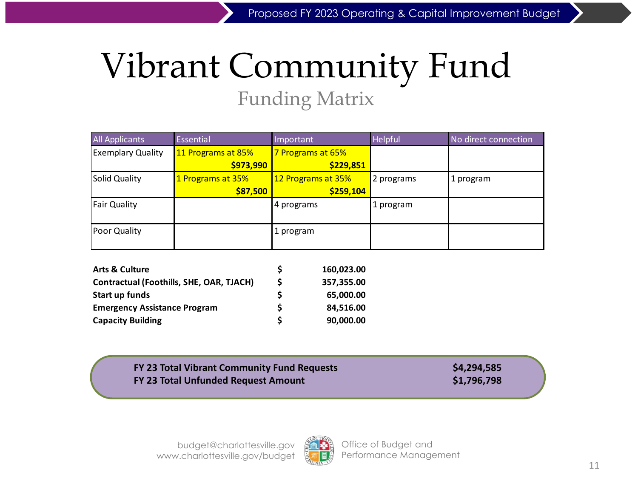## Vibrant Community Fund Funding Matrix

| All Applicants           | Essential          | Important          | Helpful    | No direct connection |
|--------------------------|--------------------|--------------------|------------|----------------------|
| <b>Exemplary Quality</b> | 11 Programs at 85% | 7 Programs at 65%  |            |                      |
|                          | \$973,990          | \$229,851          |            |                      |
| Solid Quality            | 1 Programs at 35%  | 12 Programs at 35% | 2 programs | 1 program            |
|                          | \$87,500           | \$259,104          |            |                      |
| <b>Fair Quality</b>      |                    | 4 programs         | 1 program  |                      |
| Poor Quality             |                    | 1 program          |            |                      |

| <b>Arts &amp; Culture</b>                |   | 160,023.00 |
|------------------------------------------|---|------------|
| Contractual (Foothills, SHE, OAR, TJACH) | S | 357,355.00 |
| Start up funds                           |   | 65.000.00  |
| <b>Emergency Assistance Program</b>      | S | 84.516.00  |
| <b>Capacity Building</b>                 | S | 90,000.00  |

#### **FY 23 Total Vibrant Community Fund Requests \$4,294,585 FY 23 Total Unfunded Request Amount \$1,796,798**

budget@charlottesville.gov www.charlottesville.gov/budget

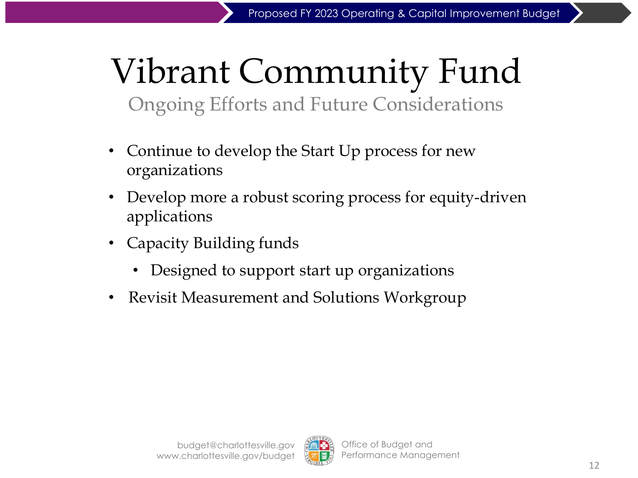## Vibrant Community Fund Ongoing Efforts and Future Considerations

- Continue to develop the Start Up process for new organizations
- Develop more a robust scoring process for equity-driven applications
- Capacity Building funds
	- Designed to support start up organizations
- Revisit Measurement and Solutions Workgroup

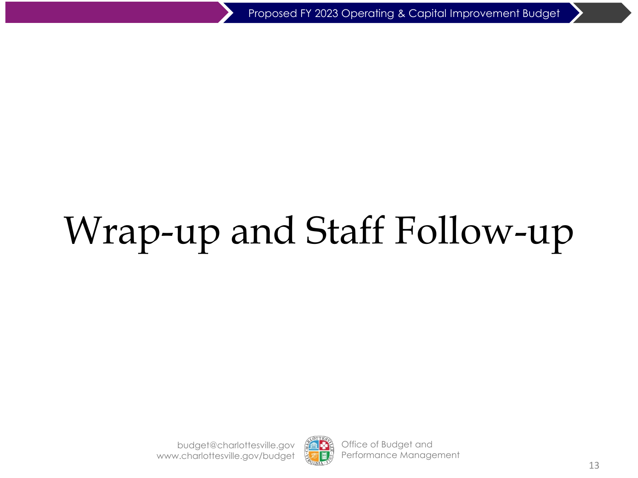# Wrap-up and Staff Follow-up

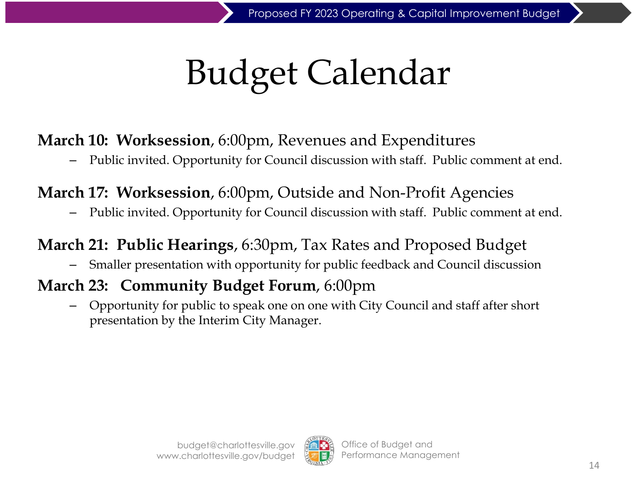# Budget Calendar

### **March 10: Worksession**, 6:00pm, Revenues and Expenditures

– Public invited. Opportunity for Council discussion with staff. Public comment at end.

### **March 17: Worksession**, 6:00pm, Outside and Non-Profit Agencies

– Public invited. Opportunity for Council discussion with staff. Public comment at end.

### **March 21: Public Hearings**, 6:30pm, Tax Rates and Proposed Budget

– Smaller presentation with opportunity for public feedback and Council discussion

### **March 23: Community Budget Forum**, 6:00pm

– Opportunity for public to speak one on one with City Council and staff after short presentation by the Interim City Manager.